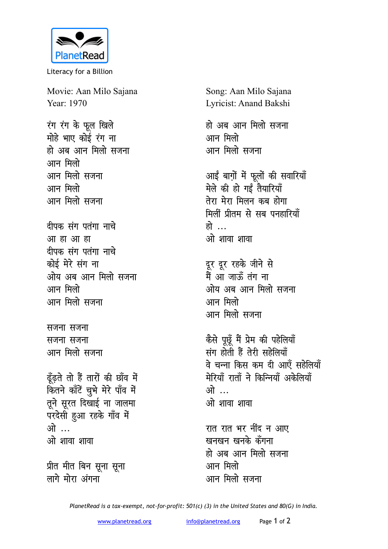

Literacy for a Billion

Movie: Aan Milo Sajana Year: 1970

रंग रंग के फूल खिले मोहे भाए कोई रंग ना हो अब आन मिलो सजना आन मिलो आन मिलो सजना आन मिलो आन मिलो सजना

दीपक संग पतंगा नाचे आ हा आ हा दीपक संग पतंगा नाचे कोई मेरे संग ना ओय अब आन मिलो सजना आन मिलो आन मिलो सजना

सजना सजना सजना सजना आन मिलो सजना

ढूँढ़ते तो हैं तारों की छाँव में कितने काँटें चुभे मेरे पाँव में तूने सूरत दिखाई ना जालमा परदेसी हुआ रहके गाँव में ओ … ओ शावा शावा

प्रीत मीत बिन सूना सूना लागे मोरा अंगना

Song: Aan Milo Sajana Lyricist: Anand Bakshi

हो अब आन मिलो सजना आन मिलो आन मिलो सजना

आईं बाग़ों में फूलों की सवारियाँ मेले की हो गईं तैयारियाँ तेरा मेरा मिलन कब होगा मिलीं प्रीतम से सब पनहारियाँ हो … ओ शावा शावा

दूर दूर रहके जीने से<br>मैं आ जाऊँ तंग ना ओय अब आन मिलो सजना आन मिलो आन मिलो सजना

कैसे पूछूँ मैं प्रेम की पहेलियाँ संग होती हैं तेरी सहेलियाँ वे चन्ना किस कम दी आएँ सहेलियाँ मेरियाँ राताँ ने किन्नियाँ अकेलियाँ ोगे ... ओ शावा शावा

रात रात भर नींद न आए खनखन खनके कँगना हो अब आन मिलो सजना आन मिलो आन मिलो सजना

PlanetRead is a tax-exempt, not-for-profit: 501(c) (3) in the United States and 80(G) in India.